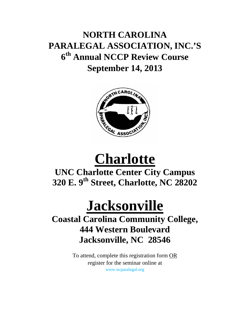## **NORTH CAROLINA PARALEGAL ASSOCIATION, INC.'S 6th Annual NCCP Review Course September 14, 2013**



# **Charlotte**

### **UNC Charlotte Center City Campus 320 E. 9th Street, Charlotte, NC 28202**

## **Jacksonville Coastal Carolina Community College, 444 Western Boulevard Jacksonville, NC 28546**

To attend, complete this registration form OR register for the seminar online at www.ncparalegal.org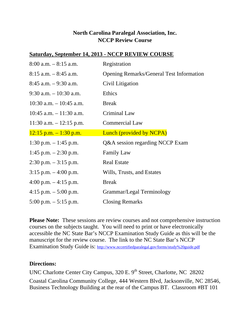#### **North Carolina Paralegal Association, Inc. NCCP Review Course**

#### **Saturday, September 14, 2013 - NCCP REVIEW COURSE**

| $8:00$ a.m. $-8:15$ a.m.   | Registration                                    |  |
|----------------------------|-------------------------------------------------|--|
| $8:15$ a.m. $-8:45$ a.m.   | <b>Opening Remarks/General Test Information</b> |  |
| $8:45$ a.m. $-9:30$ a.m.   | Civil Litigation                                |  |
| $9:30$ a.m. $-10:30$ a.m.  | Ethics                                          |  |
| $10:30$ a.m. $-10:45$ a.m. | <b>Break</b>                                    |  |
| $10:45$ a.m. $-11:30$ a.m. | Criminal Law                                    |  |
| $11:30$ a.m. $-12:15$ p.m. | <b>Commercial Law</b>                           |  |
| $12:15$ p.m. $-1:30$ p.m.  | Lunch (provided by NCPA)                        |  |
| 1:30 p.m. $-1:45$ p.m.     | Q&A session regarding NCCP Exam                 |  |
| 1:45 p.m. $-2:30$ p.m.     | <b>Family Law</b>                               |  |
| $2:30$ p.m. $-3:15$ p.m.   | <b>Real Estate</b>                              |  |
| $3:15$ p.m. $-4:00$ p.m.   | Wills, Trusts, and Estates                      |  |
| 4:00 p.m. $-4:15$ p.m.     | <b>Break</b>                                    |  |
| 4:15 p.m. $-$ 5:00 p.m.    | Grammar/Legal Terminology                       |  |
| 5:00 p.m. $-$ 5:15 p.m.    | <b>Closing Remarks</b>                          |  |

**Please Note:** These sessions are review courses and not comprehensive instruction courses on the subjects taught. You will need to print or have electronically accessible the NC State Bar's NCCP Examination Study Guide as this will be the manuscript for the review course. The link to the NC State Bar's NCCP Examination Study Guide is: http://www.nccertifiedparalegal.gov/forms/study%20guide.pdf

#### **Directions:**

UNC Charlotte Center City Campus, 320 E. 9<sup>th</sup> Street, Charlotte, NC 28202 Coastal Carolina Community College, 444 Western Blvd, Jacksonville, NC 28546, Business Technology Building at the rear of the Campus BT. Classroom #BT 101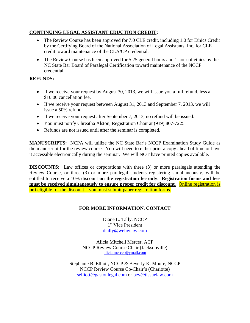#### **CONTINUING LEGAL ASSISTANT EDUCTION CREDIT:**

- The Review Course has been approved for 7.0 CLE credit, including 1.0 for Ethics Credit by the Certifying Board of the National Association of Legal Assistants, Inc. for CLE credit toward maintenance of the CLA/CP credential.
- The Review Course has been approved for 5.25 general hours and 1 hour of ethics by the NC State Bar Board of Paralegal Certification toward maintenance of the NCCP credential.

#### **REFUNDS:**

- If we receive your request by August 30, 2013, we will issue you a full refund, less a \$10.00 cancellation fee.
- If we receive your request between August 31, 2013 and September 7, 2013, we will issue a 50% refund.
- If we receive your request after September 7, 2013, no refund will be issued.
- You must notify Chreatha Alston, Registration Chair at (919) 807-7225.
- Refunds are not issued until after the seminar is completed.

**MANUSCRIPTS:** NCPA will utilize the NC State Bar's NCCP Examination Study Guide as the manuscript for the review course. You will need to either print a copy ahead of time or have it accessible electronically during the seminar. We will NOT have printed copies available.

**DISCOUNTS:** Law offices or corporations with three (3) or more paralegals attending the Review Course, or three (3) or more paralegal students registering simultaneously, will be entitled to receive a 10% discount **on the registration fee only**. **Registration forms and fees must be received simultaneously to ensure proper credit for discount**. Online registration is **not** eligible for the discount – you must submit paper registration forms.

#### **FOR MORE INFORMATION**, **CONTACT**

Diane L. Tally, NCCP 1<sup>st</sup> Vice President dtally@wehwlaw.com

Alicia Mitchell Mercer, ACP NCCP Review Course Chair (Jacksonville) alicia.mercer@ymail.com

Stephanie B. Elliott, NCCP & Beverly K. Moore, NCCP NCCP Review Course Co-Chair's (Charlotte) selliott@gastonlegal.com or bev@tissuelaw.com